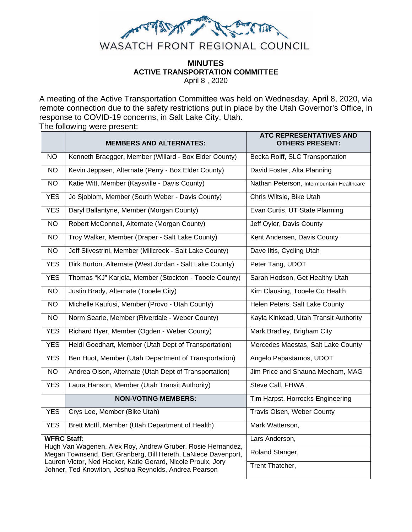

## **MINUTES ACTIVE TRANSPORTATION COMMITTEE** April 8 , 2020

A meeting of the Active Transportation Committee was held on Wednesday, April 8, 2020, via remote connection due to the safety restrictions put in place by the Utah Governor's Office, in response to COVID-19 concerns, in Salt Lake City, Utah.

The following were present:

| <b>MEMBERS AND ALTERNATES:</b>                                                                                                                                                                                                                                               | <b>ATC REPRESENTATIVES AND</b><br><b>OTHERS PRESENT:</b> |
|------------------------------------------------------------------------------------------------------------------------------------------------------------------------------------------------------------------------------------------------------------------------------|----------------------------------------------------------|
| Kenneth Braegger, Member (Willard - Box Elder County)                                                                                                                                                                                                                        | Becka Rolff, SLC Transportation                          |
| Kevin Jeppsen, Alternate (Perry - Box Elder County)                                                                                                                                                                                                                          | David Foster, Alta Planning                              |
| Katie Witt, Member (Kaysville - Davis County)                                                                                                                                                                                                                                | Nathan Peterson, Intermountain Healthcare                |
| Jo Sjoblom, Member (South Weber - Davis County)                                                                                                                                                                                                                              | Chris Wiltsie, Bike Utah                                 |
| Daryl Ballantyne, Member (Morgan County)                                                                                                                                                                                                                                     | Evan Curtis, UT State Planning                           |
| Robert McConnell, Alternate (Morgan County)                                                                                                                                                                                                                                  | Jeff Oyler, Davis County                                 |
| Troy Walker, Member (Draper - Salt Lake County)                                                                                                                                                                                                                              | Kent Andersen, Davis County                              |
| Jeff Silvestrini, Member (Millcreek - Salt Lake County)                                                                                                                                                                                                                      | Dave Iltis, Cycling Utah                                 |
| Dirk Burton, Alternate (West Jordan - Salt Lake County)                                                                                                                                                                                                                      | Peter Tang, UDOT                                         |
| Thomas "KJ" Karjola, Member (Stockton - Tooele County)                                                                                                                                                                                                                       | Sarah Hodson, Get Healthy Utah                           |
| Justin Brady, Alternate (Tooele City)                                                                                                                                                                                                                                        | Kim Clausing, Tooele Co Health                           |
| Michelle Kaufusi, Member (Provo - Utah County)                                                                                                                                                                                                                               | Helen Peters, Salt Lake County                           |
| Norm Searle, Member (Riverdale - Weber County)                                                                                                                                                                                                                               | Kayla Kinkead, Utah Transit Authority                    |
| Richard Hyer, Member (Ogden - Weber County)                                                                                                                                                                                                                                  | Mark Bradley, Brigham City                               |
| Heidi Goedhart, Member (Utah Dept of Transportation)                                                                                                                                                                                                                         | Mercedes Maestas, Salt Lake County                       |
| Ben Huot, Member (Utah Department of Transportation)                                                                                                                                                                                                                         | Angelo Papastamos, UDOT                                  |
| Andrea Olson, Alternate (Utah Dept of Transportation)                                                                                                                                                                                                                        | Jim Price and Shauna Mecham, MAG                         |
| Laura Hanson, Member (Utah Transit Authority)                                                                                                                                                                                                                                | Steve Call, FHWA                                         |
| <b>NON-VOTING MEMBERS:</b>                                                                                                                                                                                                                                                   | Tim Harpst, Horrocks Engineering                         |
| Crys Lee, Member (Bike Utah)                                                                                                                                                                                                                                                 | Travis Olsen, Weber County                               |
| Brett McIff, Member (Utah Department of Health)                                                                                                                                                                                                                              | Mark Watterson,                                          |
| <b>WFRC Staff:</b><br>Hugh Van Wagenen, Alex Roy, Andrew Gruber, Rosie Hernandez,<br>Megan Townsend, Bert Granberg, Bill Hereth, LaNiece Davenport,<br>Lauren Victor, Ned Hacker, Katie Gerard, Nicole Proulx, Jory<br>Johner, Ted Knowlton, Joshua Reynolds, Andrea Pearson | Lars Anderson,                                           |
|                                                                                                                                                                                                                                                                              | Roland Stanger,                                          |
|                                                                                                                                                                                                                                                                              | Trent Thatcher,                                          |
|                                                                                                                                                                                                                                                                              |                                                          |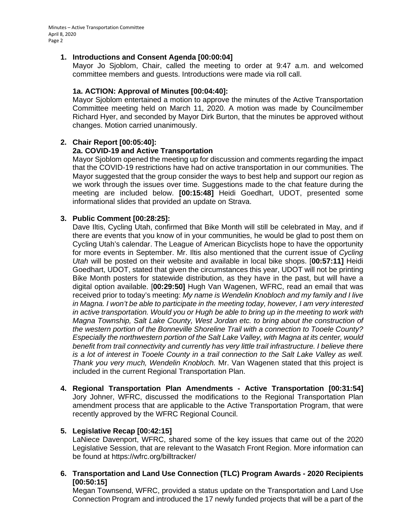# **1. Introductions and Consent Agenda [00:00:04]**

Mayor Jo Sjoblom, Chair, called the meeting to order at 9:47 a.m. and welcomed committee members and guests. Introductions were made via roll call.

# **1a. ACTION: Approval of Minutes [00:04:40]:**

Mayor Sjoblom entertained a motion to approve the minutes of the Active Transportation Committee meeting held on March 11, 2020. A motion was made by Councilmember Richard Hyer, and seconded by Mayor Dirk Burton, that the minutes be approved without changes. Motion carried unanimously.

## **2. Chair Report [00:05:40]:**

## **2a. COVID-19 and Active Transportation**

Mayor Sjoblom opened the meeting up for discussion and comments regarding the impact that the COVID-19 restrictions have had on active transportation in our communities. The Mayor suggested that the group consider the ways to best help and support our region as we work through the issues over time. Suggestions made to the chat feature during the meeting are included below. **[00:15:48]** Heidi Goedhart, UDOT, presented some informational slides that provided an update on Strava.

## **3. Public Comment [00:28:25]:**

Dave Iltis, Cycling Utah, confirmed that Bike Month will still be celebrated in May, and if there are events that you know of in your communities, he would be glad to post them on Cycling Utah's calendar. The League of American Bicyclists hope to have the opportunity for more events in September. Mr. Iltis also mentioned that the current issue of *Cycling Utah* will be posted on their website and available in local bike shops. [**00:57:11]** Heidi Goedhart, UDOT, stated that given the circumstances this year, UDOT will not be printing Bike Month posters for statewide distribution, as they have in the past, but will have a digital option available. [**00:29:50]** Hugh Van Wagenen, WFRC, read an email that was received prior to today's meeting: *My name is Wendelin Knobloch and my family and I live in Magna. I won't be able to participate in the meeting today, however, I am very interested in active transportation. Would you or Hugh be able to bring up in the meeting to work with Magna Township, Salt Lake County, West Jordan etc. to bring about the construction of the western portion of the Bonneville Shoreline Trail with a connection to Tooele County? Especially the northwestern portion of the Salt Lake Valley, with Magna at its center, would benefit from trail connectivity and currently has very little trail infrastructure. I believe there is a lot of interest in Tooele County in a trail connection to the Salt Lake Valley as well. Thank you very much, Wendelin Knobloch.* Mr. Van Wagenen stated that this project is included in the current Regional Transportation Plan.

**4. Regional Transportation Plan Amendments - Active Transportation [00:31:54]** Jory Johner, WFRC, discussed the modifications to the Regional Transportation Plan amendment process that are applicable to the Active Transportation Program, that were recently approved by the WFRC Regional Council.

# **5. Legislative Recap [00:42:15]**

LaNiece Davenport, WFRC, shared some of the key issues that came out of the 2020 Legislative Session, that are relevant to the Wasatch Front Region. More information can be found at https://wfrc.org/billtracker/

**6. Transportation and Land Use Connection (TLC) Program Awards - 2020 Recipients [00:50:15]**

Megan Townsend, WFRC, provided a status update on the Transportation and Land Use Connection Program and introduced the 17 newly funded projects that will be a part of the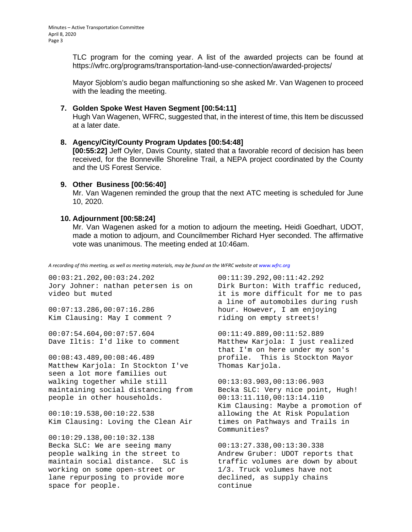TLC program for the coming year. A list of the awarded projects can be found at https://wfrc.org/programs/transportation-land-use-connection/awarded-projects/

Mayor Sjoblom's audio began malfunctioning so she asked Mr. Van Wagenen to proceed with the leading the meeting.

## **7. Golden Spoke West Haven Segment [00:54:11]**

Hugh Van Wagenen, WFRC, suggested that, in the interest of time, this Item be discussed at a later date.

#### **8. Agency/City/County Program Updates [00:54:48]**

**[00:55:22]** Jeff Oyler, Davis County, stated that a favorable record of decision has been received, for the Bonneville Shoreline Trail, a NEPA project coordinated by the County and the US Forest Service.

#### **9. Other Business [00:56:40]**

Mr. Van Wagenen reminded the group that the next ATC meeting is scheduled for June 10, 2020.

#### **10. Adjournment [00:58:24]**

Mr. Van Wagenen asked for a motion to adjourn the meeting**.** Heidi Goedhart, UDOT, made a motion to adjourn, and Councilmember Richard Hyer seconded. The affirmative vote was unanimous. The meeting ended at 10:46am.

*A recording of this meeting, as well as meeting materials, may be found on the WFRC website at www.wfrc.org*

00:03:21.202,00:03:24.202 Jory Johner: nathan petersen is on Dirk Burton: With traffic reduced, video but muted

00:07:13.286,00:07:16.286 Kim Clausing: May I comment ?

00:07:54.604,00:07:57.604 Dave Iltis: I'd like to comment

00:08:43.489,00:08:46.489 Matthew Karjola: In Stockton I've seen a lot more families out walking together while still maintaining social distancing from people in other households.

00:10:19.538,00:10:22.538 Kim Clausing: Loving the Clean Air

00:10:29.138,00:10:32.138 Becka SLC: We are seeing many people walking in the street to maintain social distance. SLC is working on some open-street or lane repurposing to provide more space for people.

00:11:39.292,00:11:42.292 it is more difficult for me to pas a line of automobiles during rush hour. However, I am enjoying riding on empty streets!

00:11:49.889,00:11:52.889 Matthew Karjola: I just realized that I'm on here under my son's profile. This is Stockton Mayor Thomas Karjola.

00:13:03.903,00:13:06.903 Becka SLC: Very nice point, Hugh! 00:13:11.110,00:13:14.110 Kim Clausing: Maybe a promotion of allowing the At Risk Population times on Pathways and Trails in Communities?

00:13:27.338,00:13:30.338 Andrew Gruber: UDOT reports that traffic volumes are down by about 1/3. Truck volumes have not declined, as supply chains continue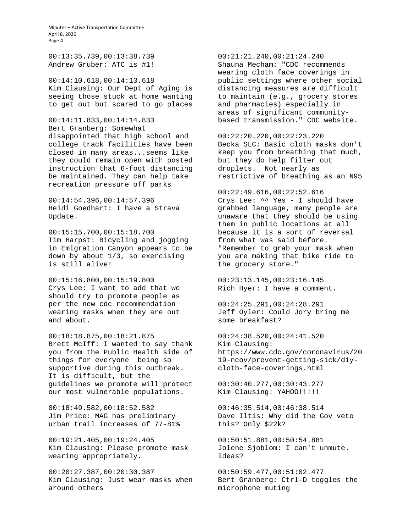Minutes – Active Transportation Committee April 8, 2020 Page 4

00:13:35.739,00:13:38.739 Andrew Gruber: ATC is #1!

00:14:10.618,00:14:13.618 Kim Clausing: Our Dept of Aging is seeing those stuck at home wanting to get out but scared to go places

00:14:11.833,00:14:14.833 Bert Granberg: Somewhat disappointed that high school and college track facilities have been closed in many areas...seems like they could remain open with posted instruction that 6-foot distancing be maintained. They can help take recreation pressure off parks

00:14:54.396,00:14:57.396 Heidi Goedhart: I have a Strava Update.

00:15:15.700,00:15:18.700 Tim Harpst: Bicycling and jogging in Emigration Canyon appears to be down by about 1/3, so exercising is still alive!

00:15:16.800,00:15:19.800 Crys Lee: I want to add that we should try to promote people as per the new cdc recommendation wearing masks when they are out and about.

00:18:18.875,00:18:21.875 Brett McIff: I wanted to say thank you from the Public Health side of things for everyone being so supportive during this outbreak. It is difficult, but the guidelines we promote will protect our most vulnerable populations.

00:18:49.582,00:18:52.582 Jim Price: MAG has preliminary urban trail increases of 77-81%

00:19:21.405,00:19:24.405 Kim Clausing: Please promote mask wearing appropriately.

00:20:27.387,00:20:30.387 Kim Clausing: Just wear masks when around others

00:21:21.240,00:21:24.240 Shauna Mecham: "CDC recommends wearing cloth face coverings in public settings where other social distancing measures are difficult to maintain (e.g., grocery stores and pharmacies) especially in areas of significant communitybased transmission." CDC website.

00:22:20.220,00:22:23.220 Becka SLC: Basic cloth masks don't keep you from breathing that much, but they do help filter out droplets. Not nearly as restrictive of breathing as an N95

00:22:49.616,00:22:52.616 Crys Lee: ^^ Yes - I should have grabbed language, many people are unaware that they should be using them in public locations at all because it is a sort of reversal from what was said before. "Remember to grab your mask when you are making that bike ride to the grocery store."

00:23:13.145,00:23:16.145 Rich Hyer: I have a comment.

00:24:25.291,00:24:28.291 Jeff Oyler: Could Jory bring me some breakfast?

00:24:38.520,00:24:41.520 Kim Clausing: https://www.cdc.gov/coronavirus/20 19-ncov/prevent-getting-sick/diycloth-face-coverings.html

00:30:40.277,00:30:43.277 Kim Clausing: YAHOO!!!!!

00:46:35.514,00:46:38.514 Dave Iltis: Why did the Gov veto this? Only \$22k?

00:50:51.881,00:50:54.881 Jolene Sjoblom: I can't unmute. Ideas?

00:50:59.477,00:51:02.477 Bert Granberg: Ctrl-D toggles the microphone muting